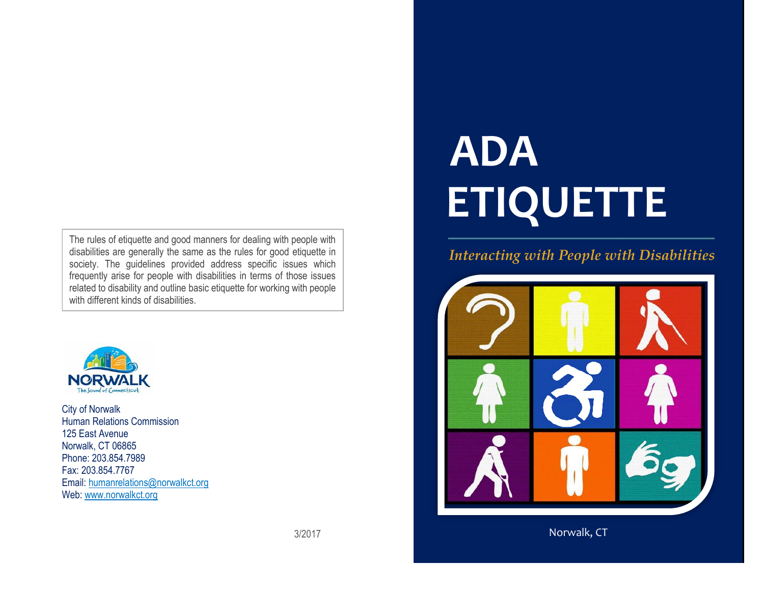The rules of etiquette and good manners for dealing with people with disabilities are generally the same as the rules for good etiquette in society. The guidelines provided address specific issues which frequently arise for people with disabilities in terms of those issues related to disability and outline basic etiquette for working with people with different kinds of disabilities.



City of Norwalk Human Relations Commission 125 East Avenue Norwalk, CT 06865 Phone: 203.854.7989 Fax: 203.854.7767 Email: [humanrelations@norwalkct.org](mailto:humanrelations@norwalkct.org)  Web: [www.norwalkct.org](http://www.norwalkct.org/)

# **ADA ETIQUETTE \_\_\_\_\_\_\_\_\_\_\_\_\_\_\_\_\_\_\_\_\_\_\_\_\_\_\_\_\_\_\_\_\_\_\_\_\_\_\_\_\_\_\_\_\_\_\_\_\_\_**

# *Interacting with People with Disabilities*



Norwalk, CT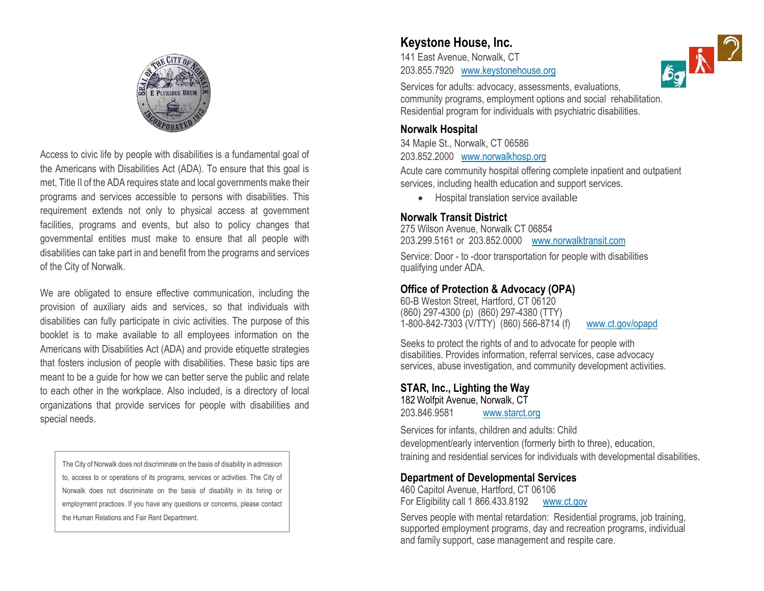

Access to civic life by people with disabilities is a fundamental goal of the Americans with Disabilities Act (ADA). To ensure that this goal is met, Title II of the ADA requires state and local governments make their programs and services accessible to persons with disabilities. This requirement extends not only to physical access at government facilities, programs and events, but also to policy changes that governmental entities must make to ensure that all people with disabilities can take part in and benefit from the programs and services of the City of Norwalk.

We are obligated to ensure effective communication, including the provision of auxiliary aids and services, so that individuals with disabilities can fully participate in civic activities. The purpose of this booklet is to make available to all employees information on the Americans with Disabilities Act (ADA) and provide etiquette strategies that fosters inclusion of people with disabilities. These basic tips are meant to be a guide for how we can better serve the public and relate to each other in the workplace. Also included, is a directory of local organizations that provide services for people with disabilities and special needs.

The City of Norwalk does not discriminate on the basis of disability in admission to, access to or operations of its programs, services or activities. The City of Norwalk does not discriminate on the basis of disability in its hiring or employment practices. If you have any questions or concerns, please contact the Human Relations and Fair Rent Department.

#### **Keystone House, Inc.**

141 East Avenue, Norwalk, CT 203.855.7920 [www.keystonehouse.org](http://www.keystonehouse.org/)

Services for adults: advocacy, assessments, evaluations, community programs, employment options and social rehabilitation. Residential program for individuals with psychiatric disabilities.

#### **Norwalk Hospital**

34 Maple St., Norwalk, CT 06586 203.852.2000 [www.norwalkhosp.org](http://www.norwalkhosp.org/)

Acute care community hospital offering complete inpatient and outpatient services, including health education and support services.

• Hospital translation service available

#### **Norwalk Transit District**

275 Wilson Avenue, Norwalk CT 06854 203.299.5161 or 203.852.0000 [www.norwalktransit.com](http://www.norwalktransit.com/)

Service: Door - to -door transportation for people with disabilities qualifying under ADA.

#### **Office of Protection & Advocacy (OPA)**

60-B Weston Street, Hartford, CT 06120 (860) 297-4300 (p) (860) 297-4380 (TTY) 1-800-842-7303 (V/TTY) (860) 566-8714 (f)[www.ct.gov/opapd](http://www.ct.gov/opapd)

Seeks to protect the rights of and to advocate for people with disabilities. Provides information, referral services, case advocacy services, abuse investigation, and community development activities.

#### **STAR, Inc., Lighting the Way**

182 Wolfpit Avenue, Norwalk, CT 203.846.9581 [www.starct.org](http://www.starct.org/)

Services for infants, children and adults: Child development/early intervention (formerly birth to three), education, training and residential services for individuals with developmental disabilities.

#### **Department of Developmental Services**

460 Capitol Avenue, Hartford, CT 06106 For Eligibility call 1 866.433.8192 [www.ct.gov](http://www.ct.gov/)

Serves people with mental retardation: Residential programs, job training, supported employment programs, day and recreation programs, individual and family support, case management and respite care.

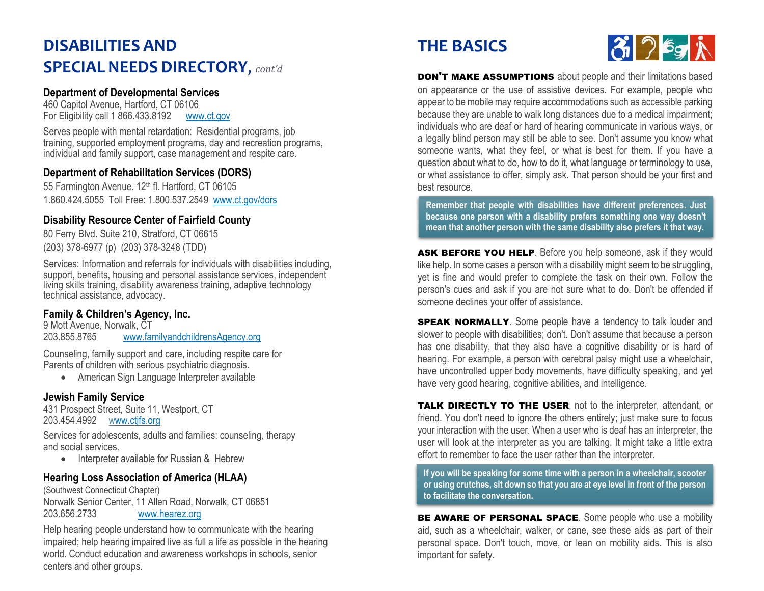# **DISABILITIES AND SPECIAL NEEDS DIRECTORY**, *cont'd*

#### **Department of Developmental Services**

460 Capitol Avenue, Hartford, CT 06106 For Eligibility call 1 866.433.8192 [www.ct.gov](http://www.ct.gov/)

Serves people with mental retardation: Residential programs, job training, supported employment programs, day and recreation programs, individual and family support, case management and respite care.

#### **Department of Rehabilitation Services (DORS)**

55 Farmington Avenue. 12<sup>th</sup> fl. Hartford, CT 06105 1.860.424.5055 Toll Free: 1.800.537.2549 [www.ct.gov/dors](http://www.ct.gov/dors)

#### **Disability Resource Center of Fairfield County**

80 Ferry Blvd. Suite 210, Stratford, CT 06615 (203) 378-6977 (p) (203) 378-3248 (TDD)

Services: Information and referrals for individuals with disabilities including, support, benefits, housing and personal assistance services, independent living skills training, disability awareness training, adaptive technology technical assistance, advocacy.

#### **Family & Children's Agency, Inc.**

9 Mott Avenue, Norwalk, CT 203.855.8765 [www.familyandchildrensAgency.org](http://www.familyandchildrensagency.org/)

Counseling, family support and care, including respite care for Parents of children with serious psychiatric diagnosis.

• American Sign Language Interpreter available

#### **Jewish Family Service**

431 Prospect Street, Suite 11, Westport, CT 203.454.4992 [www.ctjfs.org](http://www.ctjfs.org/)

Services for adolescents, adults and families: counseling, therapy and social services.

Interpreter available for Russian &Hebrew

#### **Hearing Loss Association of America (HLAA)**

(Southwest Connecticut Chapter) Norwalk Senior Center, 11 Allen Road, Norwalk, CT 06851 203.656.2733 [www.hearez.org](http://www.hearez.org/)

Help hearing people understand how to communicate with the hearing impaired; help hearing impaired live as full a life as possible in the hearing world. Conduct education and awareness workshops in schools, senior centers and other groups.

# **THE BASICS**



**DON'T MAKE ASSUMPTIONS** about people and their limitations based on appearance or the use of assistive devices. For example, people who appear to be mobile may require accommodations such as accessible parking because they are unable to walk long distances due to a medical impairment; individuals who are deaf or hard of hearing communicate in various ways, or a legally blind person may still be able to see. Don't assume you know what someone wants, what they feel, or what is best for them. If you have a question about what to do, how to do it, what language or terminology to use, or what assistance to offer, simply ask. That person should be your first and best resource.

**Remember that people with disabilities have different preferences. Just because one person with a disability prefers something one way doesn't mean that another person with the same disability also prefers it that way.**

ASK BEFORE YOU HELP. Before you help someone, ask if they would like help. In some cases a person with a disability might seem to be struggling, yet is fine and would prefer to complete the task on their own. Follow the person's cues and ask if you are not sure what to do. Don't be offended if someone declines your offer of assistance.

**SPEAK NORMALLY**. Some people have a tendency to talk louder and slower to people with disabilities; don't. Don't assume that because a person has one disability, that they also have a cognitive disability or is hard of hearing. For example, a person with cerebral palsy might use a wheelchair, have uncontrolled upper body movements, have difficulty speaking, and yet have very good hearing, cognitive abilities, and intelligence.

**TALK DIRECTLY TO THE USER, not to the interpreter, attendant, or** friend. You don't need to ignore the others entirely; just make sure to focus your interaction with the user. When a user who is deaf has an interpreter, the user will look at the interpreter as you are talking. It might take a little extra effort to remember to face the user rather than the interpreter.

**If you will be speaking for some time with a person in a wheelchair, scooter or using crutches, sit down so that you are at eye level in front of the person to facilitate the conversation.** 

BE AWARE OF PERSONAL SPACE. Some people who use a mobility aid, such as a wheelchair, walker, or cane, see these aids as part of their personal space. Don't touch, move, or lean on mobility aids. This is also important for safety.